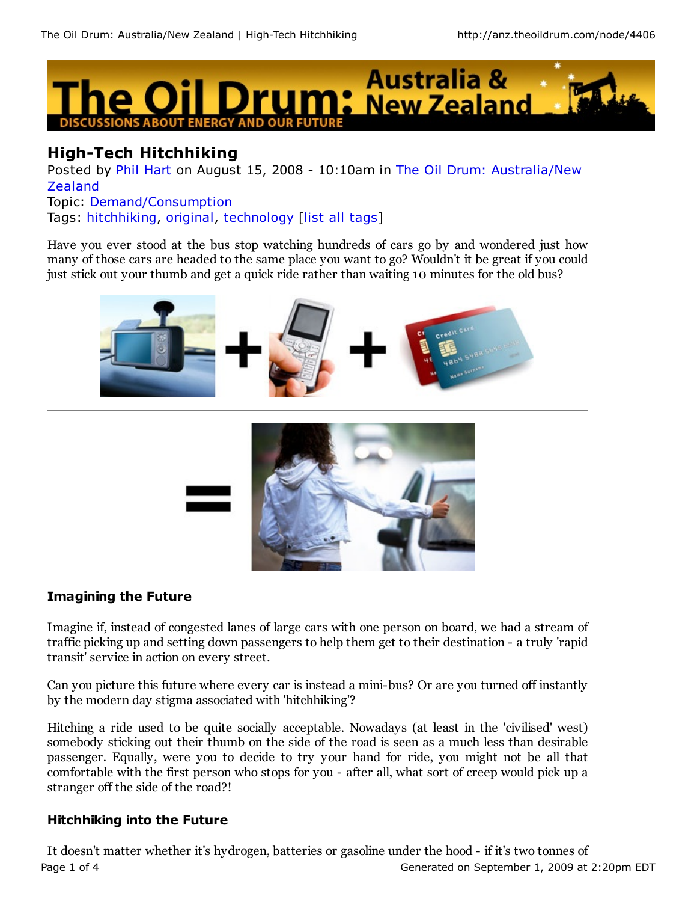

# **High-Tech Hitchhiking**

Posted by Phil Hart on August 15, 2008 - 10:10am in The Oil Drum: Australia/New Zealand Topic: Demand/Consumption

Tags: hitchhiking, original, technology [list all tags]

Have you ever stood at the bus stop watching hundreds of cars go by and wondered just how many of those cars are headed to the same place you want to go? Wouldn't it be great if you could just stick out your thumb and get a quick ride rather than waiting 10 minutes for the old bus?





# **Imagining the Future**

Imagine if, instead of congested lanes of large cars with one person on board, we had a stream of traffic picking up and setting down passengers to help them get to their destination - a truly 'rapid transit' service in action on every street.

Can you picture this future where every car is instead a mini-bus? Or are you turned off instantly by the modern day stigma associated with 'hitchhiking'?

Hitching a ride used to be quite socially acceptable. Nowadays (at least in the 'civilised' west) somebody sticking out their thumb on the side of the road is seen as a much less than desirable passenger. Equally, were you to decide to try your hand for ride, you might not be all that comfortable with the first person who stops for you - after all, what sort of creep would pick up a stranger off the side of the road?!

# **Hitchhiking into the Future**

It doesn't matter whether it's hydrogen, batteries or gasoline under the hood - if it's two tonnes of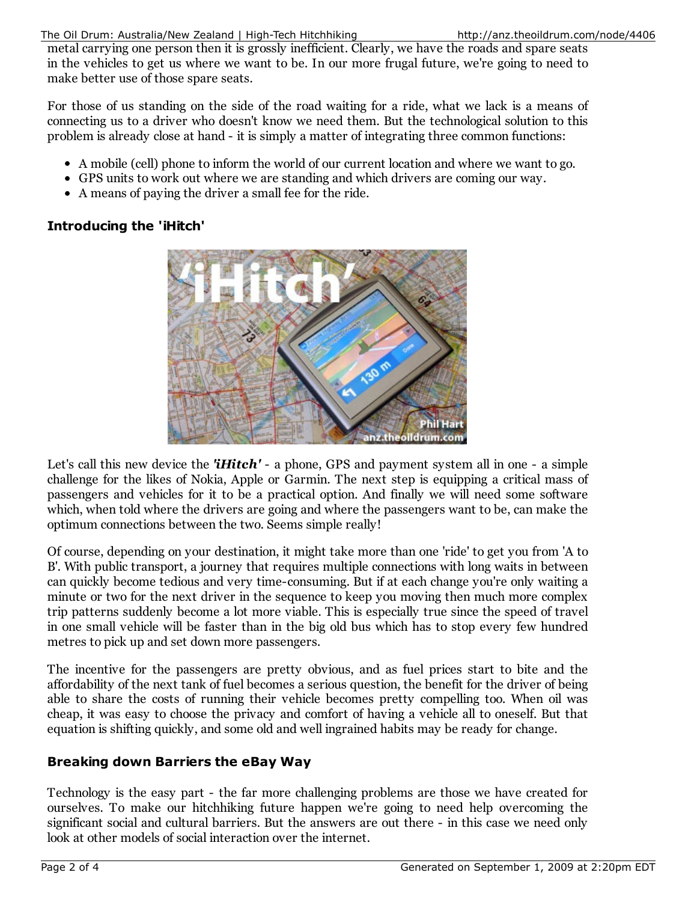metal carrying one person then it is grossly inefficient. Clearly, we have the roads and spare seats in the vehicles to get us where we want to be. In our more frugal future, we're going to need to make better use of those spare seats.

For those of us standing on the side of the road waiting for a ride, what we lack is a means of connecting us to a driver who doesn't know we need them. But the technological solution to this problem is already close at hand - it is simply a matter of integrating three common functions:

- A mobile (cell) phone to inform the world of our current location and where we want to go.
- GPS units to work out where we are standing and which drivers are coming our way.
- A means of paying the driver a small fee for the ride.

# **Introducing the 'iHitch'**



Let's call this new device the **'iHitch'** - a phone, GPS and payment system all in one - a simple challenge for the likes of Nokia, Apple or Garmin. The next step is equipping a critical mass of passengers and vehicles for it to be a practical option. And finally we will need some software which, when told where the drivers are going and where the passengers want to be, can make the optimum connections between the two. Seems simple really!

Of course, depending on your destination, it might take more than one 'ride' to get you from 'A to B'. With public transport, a journey that requires multiple connections with long waits in between can quickly become tedious and very time-consuming. But if at each change you're only waiting a minute or two for the next driver in the sequence to keep you moving then much more complex trip patterns suddenly become a lot more viable. This is especially true since the speed of travel in one small vehicle will be faster than in the big old bus which has to stop every few hundred metres to pick up and set down more passengers.

The incentive for the passengers are pretty obvious, and as fuel prices start to bite and the affordability of the next tank of fuel becomes a serious question, the benefit for the driver of being able to share the costs of running their vehicle becomes pretty compelling too. When oil was cheap, it was easy to choose the privacy and comfort of having a vehicle all to oneself. But that equation is shifting quickly, and some old and well ingrained habits may be ready for change.

# **Breaking down Barriers the eBay Way**

Technology is the easy part - the far more challenging problems are those we have created for ourselves. To make our hitchhiking future happen we're going to need help overcoming the significant social and cultural barriers. But the answers are out there - in this case we need only look at other models of social interaction over the internet.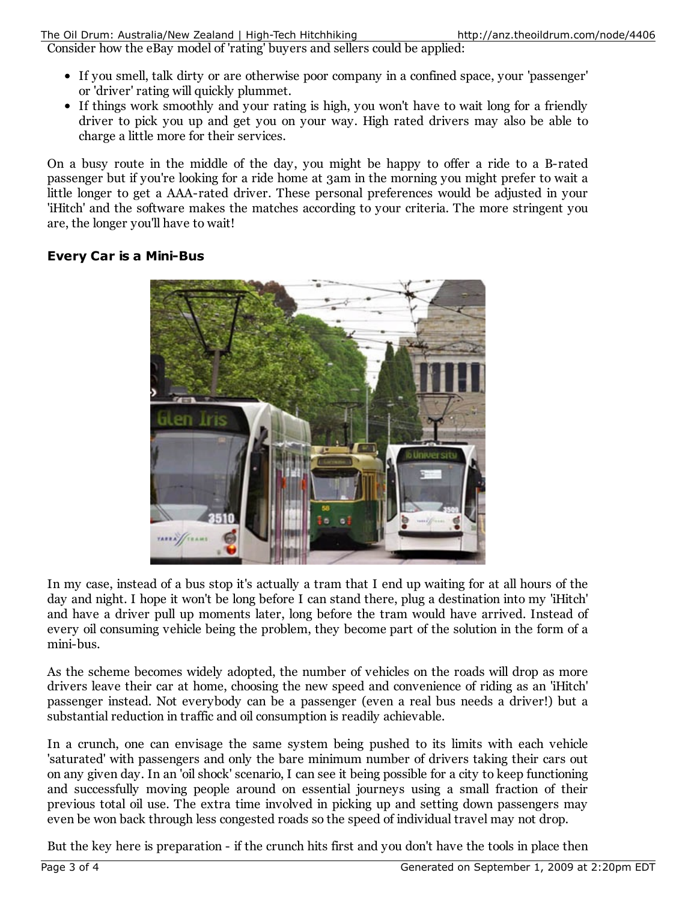Consider how the eBay model of 'rating' buyers and sellers could be applied:

- If you smell, talk dirty or are otherwise poor company in a confined space, your 'passenger' or 'driver' rating will quickly plummet.
- If things work smoothly and your rating is high, you won't have to wait long for a friendly driver to pick you up and get you on your way. High rated drivers may also be able to charge a little more for their services.

On a busy route in the middle of the day, you might be happy to offer a ride to a B-rated passenger but if you're looking for a ride home at 3am in the morning you might prefer to wait a little longer to get a AAA-rated driver. These personal preferences would be adjusted in your 'iHitch' and the software makes the matches according to your criteria. The more stringent you are, the longer you'll have to wait!

#### **Every Car is a Mini-Bus**



In my case, instead of a bus stop it's actually a tram that I end up waiting for at all hours of the day and night. I hope it won't be long before I can stand there, plug a destination into my 'iHitch' and have a driver pull up moments later, long before the tram would have arrived. Instead of every oil consuming vehicle being the problem, they become part of the solution in the form of a mini-bus.

As the scheme becomes widely adopted, the number of vehicles on the roads will drop as more drivers leave their car at home, choosing the new speed and convenience of riding as an 'iHitch' passenger instead. Not everybody can be a passenger (even a real bus needs a driver!) but a substantial reduction in traffic and oil consumption is readily achievable.

In a crunch, one can envisage the same system being pushed to its limits with each vehicle 'saturated' with passengers and only the bare minimum number of drivers taking their cars out on any given day. In an 'oil shock' scenario, I can see it being possible for a city to keep functioning and successfully moving people around on essential journeys using a small fraction of their previous total oil use. The extra time involved in picking up and setting down passengers may even be won back through less congested roads so the speed of individual travel may not drop.

But the key here is preparation - if the crunch hits first and you don't have the tools in place then